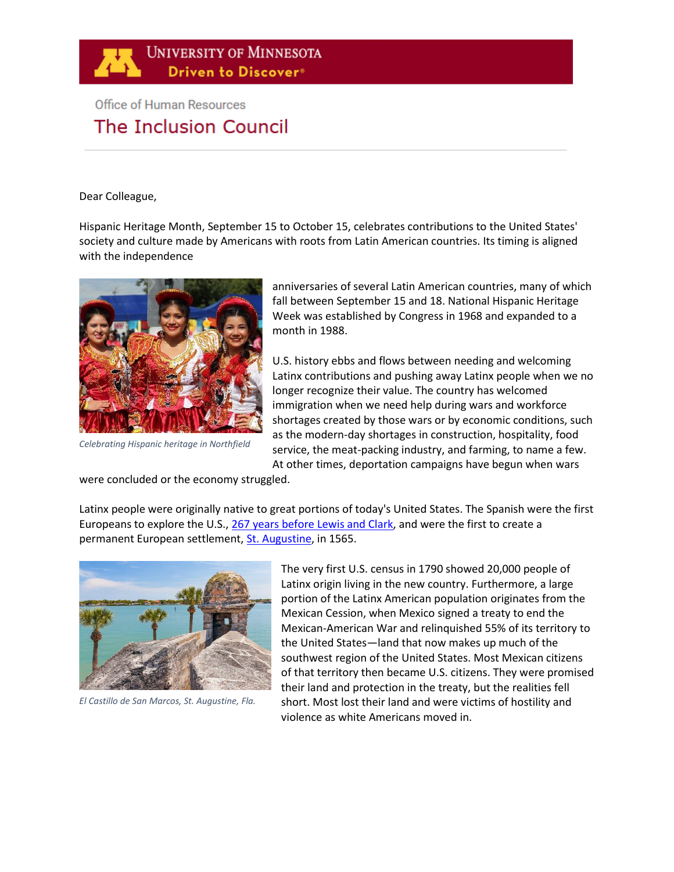

# **Office of Human Resources** The Inclusion Council

Dear Colleague,

Hispanic Heritage Month, September 15 to October 15, celebrates contributions to the United States' society and culture made by Americans with roots from Latin American countries. Its timing is aligned with the independence



*Celebrating Hispanic heritage in Northfield*

anniversaries of several Latin American countries, many of which fall between September 15 and 18. National Hispanic Heritage Week was established by Congress in 1968 and expanded to a month in 1988.

U.S. history ebbs and flows between needing and welcoming Latinx contributions and pushing away Latinx people when we no longer recognize their value. The country has welcomed immigration when we need help during wars and workforce shortages created by those wars or by economic conditions, such as the modern-day shortages in construction, hospitality, food service, the meat-packing industry, and farming, to name a few. At other times, deportation campaigns have begun when wars

were concluded or the economy struggled.

Latinx people were originally native to great portions of today's United States. The Spanish were the first Europeans to explore the U.S., [267 years before Lewis and Clark,](https://en.wikipedia.org/wiki/History_of_Hispanic_and_Latino_Americans_in_the_United_States) and were the first to create a permanent European settlement, [St. Augustine,](https://en.wikipedia.org/wiki/St._Augustine,_Florida) in 1565.



*El Castillo de San Marcos, St. Augustine, Fla.*

The very first U.S. census in 1790 showed 20,000 people of Latinx origin living in the new country. Furthermore, a large portion of the Latinx American population originates from the Mexican Cession, when Mexico signed a treaty to end the Mexican-American War and relinquished 55% of its territory to the United States—land that now makes up much of the southwest region of the United States. Most Mexican citizens of that territory then became U.S. citizens. They were promised their land and protection in the treaty, but the realities fell short. Most lost their land and were victims of hostility and violence as white Americans moved in.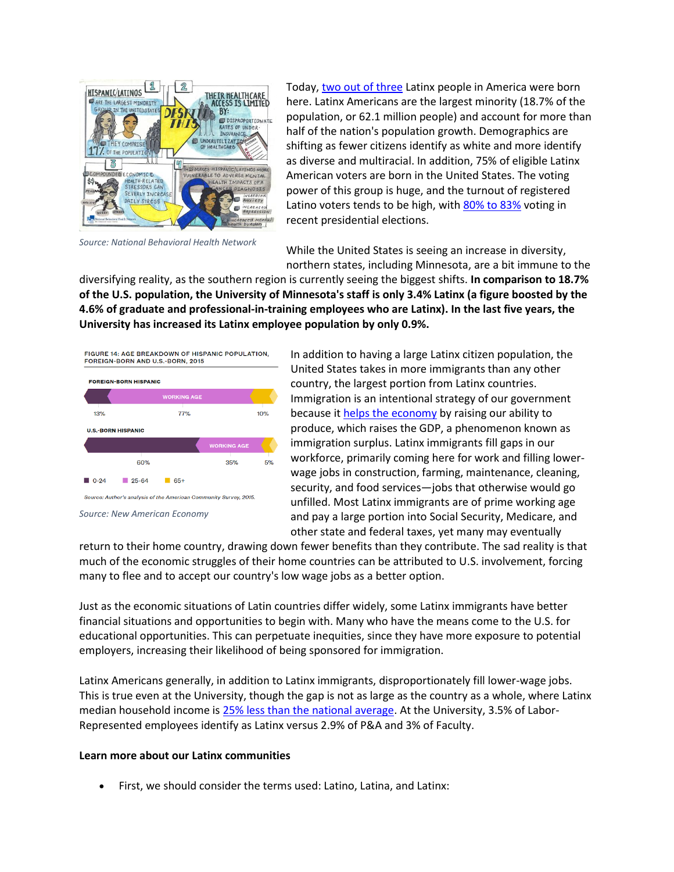

*Source: National Behavioral Health Network*

Today[, two out of three](https://research.newamericaneconomy.org/report/hispanic-americans-2019/) Latinx people in America were born here. Latinx Americans are the largest minority (18.7% of the population, or 62.1 million people) and account for more than half of the nation's population growth. Demographics are shifting as fewer citizens identify as white and more identify as diverse and multiracial. In addition, 75% of eligible Latinx American voters are born in the United States. The voting power of this group is huge, and the turnout of registered Latino voters tends to be high, with [80% to 83%](https://research.newamericaneconomy.org/report/hispanic-americans-2019/) voting in recent presidential elections.

While the United States is seeing an increase in diversity, northern states, including Minnesota, are a bit immune to the

diversifying reality, as the southern region is currently seeing the biggest shifts. **In comparison to 18.7% of the U.S. population, the University of Minnesota's staff is only 3.4% Latinx (a figure boosted by the 4.6% of graduate and professional-in-training employees who are Latinx). In the last five years, the University has increased its Latinx employee population by only 0.9%.** 



*Source: New American Economy*

In addition to having a large Latinx citizen population, the United States takes in more immigrants than any other country, the largest portion from Latinx countries. Immigration is an intentional strategy of our government because it [helps the economy](http://research.newamericaneconomy.org/wp-content/uploads/sites/2/2017/12/Hispanic_V5.pdf) by raising our ability to produce, which raises the GDP, a phenomenon known as immigration surplus. Latinx immigrants fill gaps in our workforce, primarily coming here for work and filling lowerwage jobs in construction, farming, maintenance, cleaning, security, and food services—jobs that otherwise would go unfilled. Most Latinx immigrants are of prime working age and pay a large portion into Social Security, Medicare, and other state and federal taxes, yet many may eventually

return to their home country, drawing down fewer benefits than they contribute. The sad reality is that much of the economic struggles of their home countries can be attributed to U.S. involvement, forcing many to flee and to accept our country's low wage jobs as a better option.

Just as the economic situations of Latin countries differ widely, some Latinx immigrants have better financial situations and opportunities to begin with. Many who have the means come to the U.S. for educational opportunities. This can perpetuate inequities, since they have more exposure to potential employers, increasing their likelihood of being sponsored for immigration.

Latinx Americans generally, in addition to Latinx immigrants, disproportionately fill lower-wage jobs. This is true even at the University, though the gap is not as large as the country as a whole, where Latinx median household income is [25% less than the national average.](http://research.newamericaneconomy.org/wp-content/uploads/sites/2/2017/12/Hispanic_V5.pdf) At the University, 3.5% of Labor-Represented employees identify as Latinx versus 2.9% of P&A and 3% of Faculty.

#### **Learn more about our Latinx communities**

• First, we should consider the terms used: Latino, Latina, and Latinx: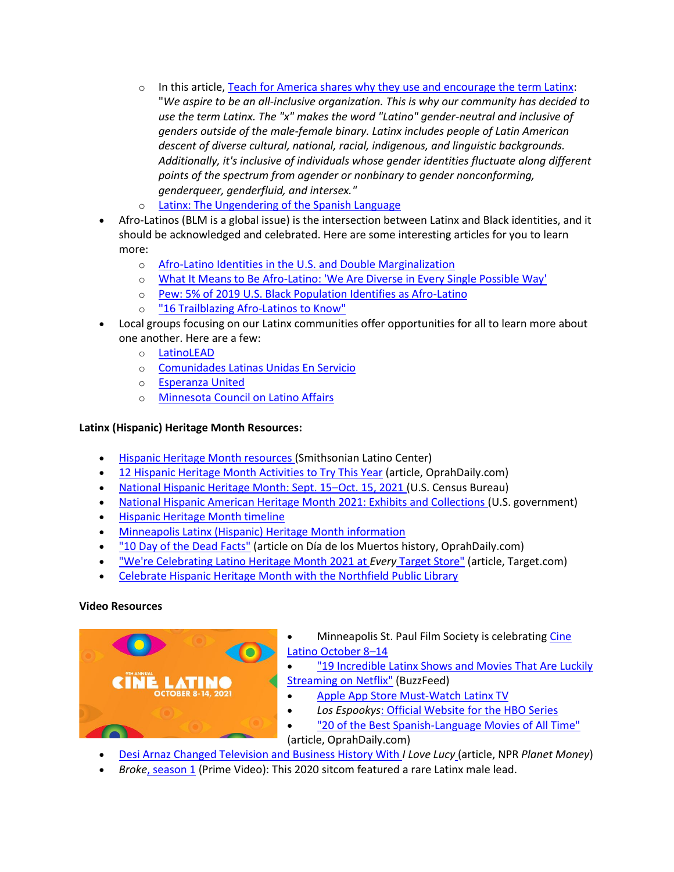- $\circ$  In this article, [Teach for America shares why they use and encourage the term Latinx:](https://www.teachforamerica.org/events/latinx-heritage-month-resources) "*We aspire to be an all-inclusive organization. This is why our community has decided to use the term Latinx. The "x" makes the word "Latino" gender-neutral and inclusive of genders outside of the male-female binary. Latinx includes people of Latin American descent of diverse cultural, national, racial, indigenous, and linguistic backgrounds. Additionally, it's inclusive of individuals whose gender identities fluctuate along different points of the spectrum from agender or nonbinary to gender nonconforming, genderqueer, genderfluid, and intersex."*
- o [Latinx: The Ungendering of the Spanish Language](https://www.latinousa.org/2016/01/29/latinx-ungendering-spanish-language/)
- Afro-Latinos (BLM is a global issue) is the intersection between Latinx and Black identities, and it should be acknowledged and celebrated. Here are some interesting articles for you to learn more:
	- o [Afro-Latino Identities in the U.S. and Double](https://www.panoramas.pitt.edu/art-and-culture/afro-latino-identities-us-and-double-marginalization) Marginalization
	- o [What It Means to Be Afro-Latino: 'We Are Diverse in Every Single Possible Way'](https://abcnews.go.com/US/means-afro-latino-diverse-single/story?id=71681988)
	- o [Pew: 5% of 2019 U.S. Black Population Identifies as Afro-Latino](https://www.latinorebels.com/2021/03/25/blackpopulationafrolatino/)
	- o ["16 Trailblazing Afro-Latinos to Know"](https://www.oprahdaily.com/entertainment/g36942648/famous-afro-latinos/)
- Local groups focusing on our Latinx communities offer opportunities for all to learn more about one another. Here are a few:
	- o [LatinoLEAD](https://www.latinoleadmn.org/)
	- o [Comunidades Latinas Unidas En Servicio](https://clues.org/)
	- o [Esperanza United](https://esperanzaunited.org/en/)
	- o [Minnesota Council on Latino Affairs](https://mn.gov/mcla/about-us/)

# **Latinx (Hispanic) Heritage Month Resources:**

- [Hispanic Heritage Month resources \(](https://latino.si.edu/learn/teaching-and-learning-resources/hispanic-heritage-month-resources)Smithsonian Latino Center)
- [12 Hispanic Heritage Month Activities to Try This Year](https://www.oprahdaily.com/life/g36651645/hispanic-heritage-month-activities/) (article, OprahDaily.com)
- [National Hispanic Heritage Month: Sept. 15](https://www.census.gov/newsroom/stories/hispanic-heritage-month.html)–Oct. 15, 2021 (U.S. Census Bureau)
- [National Hispanic American Heritage Month 2021: Exhibits and Collections \(](https://www.hispanicheritagemonth.gov/exhibits-and-collections/)U.S. government)
- [Hispanic Heritage Month timeline](https://nationaltoday.com/hispanic-heritage-month/)
- [Minneapolis Latinx \(Hispanic\) Heritage Month information](https://www.minneapolis.org/calendar/holidays/hispanic-heritage-month/)
- ["10 Day of the Dead Facts"](https://www.oprahdaily.com/life/a37259063/day-of-the-dead-facts-history/) (article on Día de los Muertos history, OprahDaily.com)
- ["We're Celebrating Latino Heritage Month 2021 at](https://corporate.target.com/article/2021/09/latino-heritage-month) *Every* Target Store" (article, Target.com)
- [Celebrate Hispanic Heritage Month with the Northfield Public Library](https://www.ci.northfield.mn.us/CivicAlerts.aspx?AID=1509)

# **Video Resources**



- Minneapolis St. Paul Film Society is celebratin[g Cine](https://mspfilm.org/wp-content/uploads/2021/08/Cine-Latino-Sponsorship-Opportunities-2021.pdf?utm_source=Society+Weekly+081821&utm_medium=CL21+Drive&utm_campaign=CL21+Sponsor+Deck)  [Latino October 8](https://mspfilm.org/wp-content/uploads/2021/08/Cine-Latino-Sponsorship-Opportunities-2021.pdf?utm_source=Society+Weekly+081821&utm_medium=CL21+Drive&utm_campaign=CL21+Sponsor+Deck)–14
- ["19 Incredible Latinx Shows and Movies That Are Luckily](https://www.buzzfeed.com/evelinamedina/netflix-latinx-heritage)  [Streaming on Netflix"](https://www.buzzfeed.com/evelinamedina/netflix-latinx-heritage) (BuzzFeed)
	- [Apple App Store Must-Watch Latinx TV](https://apps.apple.com/us/story/id1432048320)
	- *Los Espookys*[: Official Website for the HBO Series](https://www.hbo.com/los-espookys)
- ["20 of the Best Spanish-Language Movies of All Time"](https://www.oprahdaily.com/entertainment/tv-movies/g28761580/best-spanish-movies/) (article, OprahDaily.com)
- [Desi Arnaz Changed Television and Business History With](https://www.npr.org/transcripts/959609533) *I Love Lucy* (article, NPR *Planet Money*)
- *Broke*[, season 1](https://www.amazon.com/Broke-Season-1/dp/B085ZM4RJ4) (Prime Video): This 2020 sitcom featured a rare Latinx male lead.